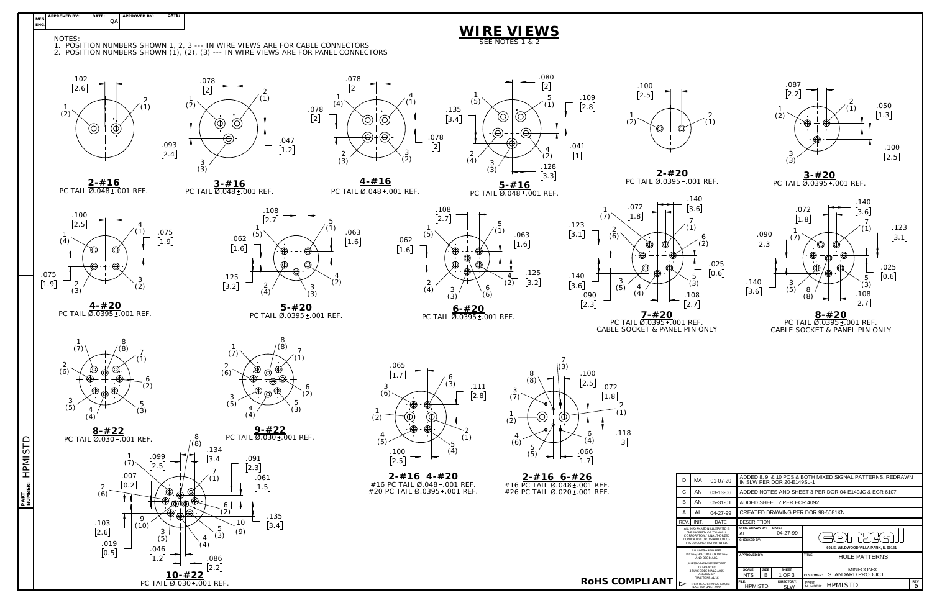

| AND DECIMALS                           |              |                |              |                  | <b>NULE PATTERING</b> |
|----------------------------------------|--------------|----------------|--------------|------------------|-----------------------|
| UNLESS OTHERWISE SPECIFIED             |              |                |              |                  |                       |
| TOI FRANCES:<br>3 PLACE DECIMALS + 005 | <b>SCALE</b> | <b>SIZE</b>    | <b>SHEET</b> |                  | MINI-CON-X            |
| ANGLES +1*<br><b>FRACTIONS +1/16</b>   | <b>NTS</b>   | B              | 1 OF 3       | <b>CUSTOMER:</b> | STANDARD PRODUCT      |
| = CRITICAL CHARACTERISTIC              | FILE:        |                |              | PART             |                       |
| <b>FLAG PER SPEC. XXXX</b>             |              | <b>HPMISTD</b> |              | NUMBER:          | <b>HPMISTD</b>        |
|                                        |              |                |              |                  |                       |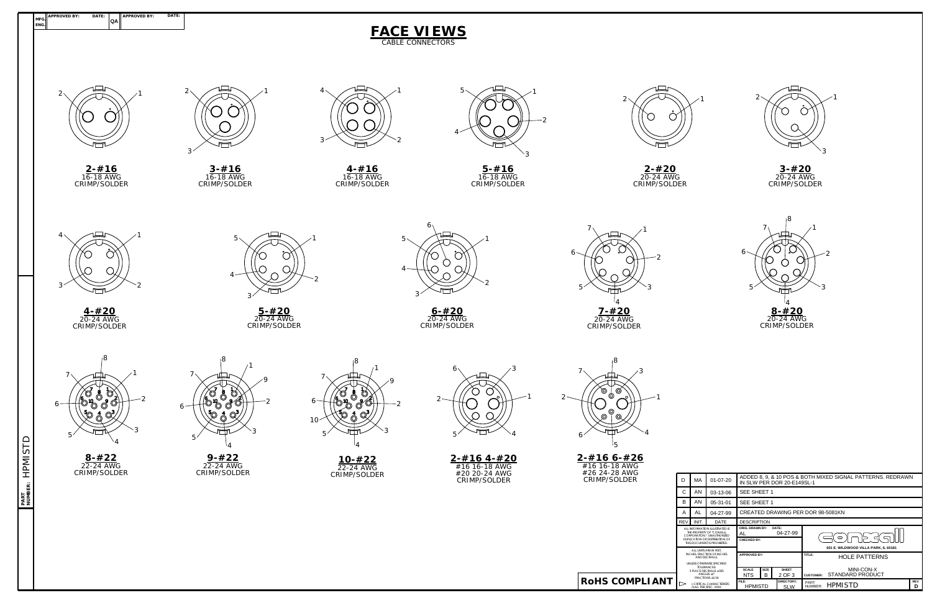**RoHS COMPLIANT**



| D                                                                                                                                                                               | MA    | 01-07-20    | ADDED 8, 9, & 10 POS & BOTH MIXED SIGNAL PATTERNS. REDRAWN<br>IN SLW PER DOR 20-E149SL-1        |                    |                          |                                                                                             |                 |  |  |  |
|---------------------------------------------------------------------------------------------------------------------------------------------------------------------------------|-------|-------------|-------------------------------------------------------------------------------------------------|--------------------|--------------------------|---------------------------------------------------------------------------------------------|-----------------|--|--|--|
| C                                                                                                                                                                               | AN    | 03-13-06    |                                                                                                 | SEE SHEET 1        |                          |                                                                                             |                 |  |  |  |
| B                                                                                                                                                                               | AN    | 05-31-01    | SEE SHEET 1                                                                                     |                    |                          |                                                                                             |                 |  |  |  |
| A                                                                                                                                                                               | AL    | 04-27-99    | CREATED DRAWING PER DOR 98-5081KN                                                               |                    |                          |                                                                                             |                 |  |  |  |
| lEV.                                                                                                                                                                            | INIT. | <b>DATE</b> |                                                                                                 | <b>DESCRIPTION</b> |                          |                                                                                             |                 |  |  |  |
| ALL INFORMATION ILLUSTRATED IS<br>THE PROPERTY OF "CONXALL<br>CORPORATION * UNAUTHORIZED<br>DUPLICATION OR DISTRIBUTION OF<br>THIS DOCUMENT IS PROHIBITED.                      |       |             | ORIG. DRAWN BY:<br>DATE:<br>04-27-99<br>AL<br>CHECKED BY:                                       |                    |                          | $\circ$<br>ک حل<br>601 E. WILDWOOD VILLA PARK, IL 60181                                     |                 |  |  |  |
| ALL UNITS ARE IN FEET.<br><b>INCHES. FRACTION OF INCHES</b><br>AND DECIMALS<br>UNLESS OTHERWISE SPECIFIED<br>TOI FRANCES:<br>3 PLACE DECIMALS ±.005<br>ANGLES $+1$ <sup>*</sup> |       |             | <b>APPROVED BY:</b><br><b>SCALE</b><br><b>SIZE</b><br><b>SHEET</b><br><b>NTS</b><br>B<br>2 OF 3 |                    |                          | TITLE:<br><b>HOLE PATTERNS</b><br>MINI-CON-X<br><b>STANDARD PRODUCT</b><br><b>CUSTOMER:</b> |                 |  |  |  |
| <b>FRACTIONS +1/16</b><br>= CRITICAL CHARACTERISTIC<br><b>FLAG PER SPEC. XXXX</b>                                                                                               |       |             | FILE:<br><b>HPMISTD</b>                                                                         |                    | DIRECTORY:<br><b>SLW</b> | PART<br><b>HPMISTD</b><br>NUMBER:                                                           | <b>REV</b><br>D |  |  |  |